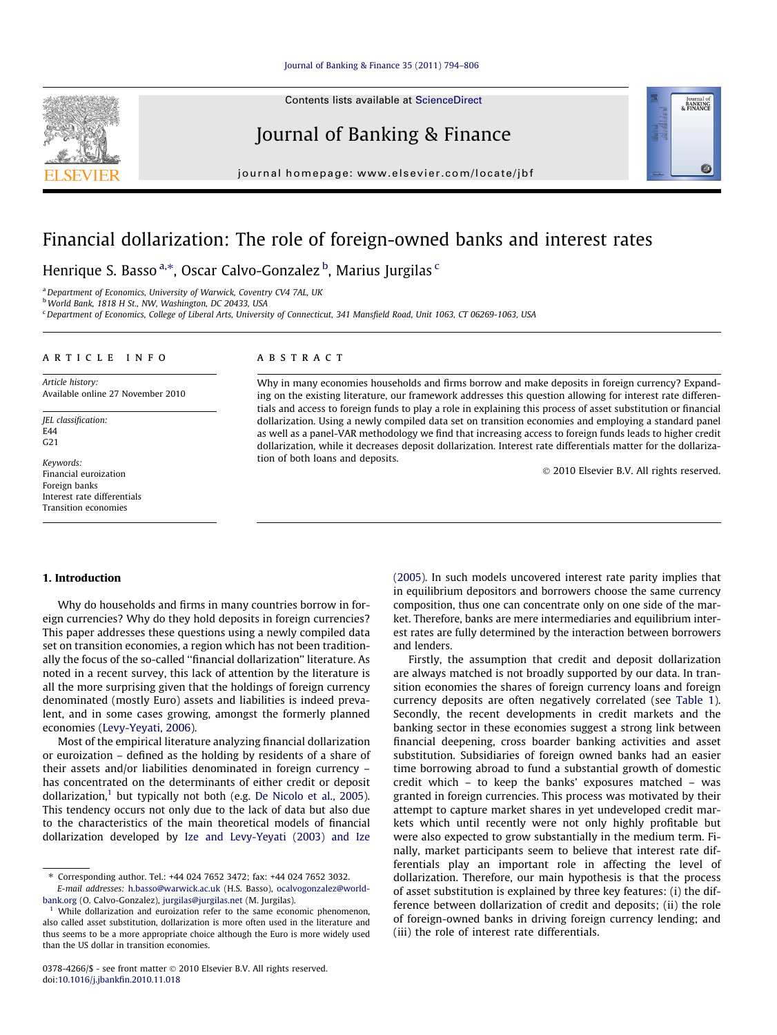Contents lists available at [ScienceDirect](http://www.sciencedirect.com/science/journal/03784266)

### Journal of Banking & Finance

journal homepage: [www.elsevier.com/locate/jbf](http://www.elsevier.com/locate/jbf)

## Financial dollarization: The role of foreign-owned banks and interest rates

Henrique S. Basso <sup>a,</sup>\*, Oscar Calvo-Gonzalez <sup>b</sup>, Marius Jurgilas <sup>c</sup>

<sup>a</sup> Department of Economics, University of Warwick, Coventry CV4 7AL, UK

b World Bank, 1818 H St., NW, Washington, DC 20433, USA

<sup>c</sup> Department of Economics, College of Liberal Arts, University of Connecticut, 341 Mansfield Road, Unit 1063, CT 06269-1063, USA

#### article info

Article history: Available online 27 November 2010

JEL classification: E44 G21

Keywords: Financial euroization Foreign banks Interest rate differentials Transition economies

#### ABSTRACT

Why in many economies households and firms borrow and make deposits in foreign currency? Expanding on the existing literature, our framework addresses this question allowing for interest rate differentials and access to foreign funds to play a role in explaining this process of asset substitution or financial dollarization. Using a newly compiled data set on transition economies and employing a standard panel as well as a panel-VAR methodology we find that increasing access to foreign funds leads to higher credit dollarization, while it decreases deposit dollarization. Interest rate differentials matter for the dollarization of both loans and deposits.

- 2010 Elsevier B.V. All rights reserved.

Journal of<br>BANKING<br>& FINANCE

60

#### 1. Introduction

Why do households and firms in many countries borrow in foreign currencies? Why do they hold deposits in foreign currencies? This paper addresses these questions using a newly compiled data set on transition economies, a region which has not been traditionally the focus of the so-called ''financial dollarization'' literature. As noted in a recent survey, this lack of attention by the literature is all the more surprising given that the holdings of foreign currency denominated (mostly Euro) assets and liabilities is indeed prevalent, and in some cases growing, amongst the formerly planned economies ([Levy-Yeyati, 2006](#page--1-0)).

Most of the empirical literature analyzing financial dollarization or euroization – defined as the holding by residents of a share of their assets and/or liabilities denominated in foreign currency – has concentrated on the determinants of either credit or deposit dollarization, $1$  but typically not both (e.g. [De Nicolo et al., 2005\)](#page--1-0). This tendency occurs not only due to the lack of data but also due to the characteristics of the main theoretical models of financial dollarization developed by [Ize and Levy-Yeyati \(2003\) and Ize](#page--1-0)

E-mail addresses: [h.basso@warwick.ac.uk](mailto:h.basso@warwick.ac.uk) (H.S. Basso), [ocalvogonzalez@world](mailto:ocalvogonzalez@worldbank.org)[bank.org](mailto:ocalvogonzalez@worldbank.org) (O. Calvo-Gonzalez), [jurgilas@jurgilas.net](mailto:jurgilas@jurgilas.net) (M. Jurgilas).

[\(2005\).](#page--1-0) In such models uncovered interest rate parity implies that in equilibrium depositors and borrowers choose the same currency composition, thus one can concentrate only on one side of the market. Therefore, banks are mere intermediaries and equilibrium interest rates are fully determined by the interaction between borrowers and lenders.

Firstly, the assumption that credit and deposit dollarization are always matched is not broadly supported by our data. In transition economies the shares of foreign currency loans and foreign currency deposits are often negatively correlated (see [Table 1\)](#page-1-0). Secondly, the recent developments in credit markets and the banking sector in these economies suggest a strong link between financial deepening, cross boarder banking activities and asset substitution. Subsidiaries of foreign owned banks had an easier time borrowing abroad to fund a substantial growth of domestic credit which – to keep the banks' exposures matched – was granted in foreign currencies. This process was motivated by their attempt to capture market shares in yet undeveloped credit markets which until recently were not only highly profitable but were also expected to grow substantially in the medium term. Finally, market participants seem to believe that interest rate differentials play an important role in affecting the level of dollarization. Therefore, our main hypothesis is that the process of asset substitution is explained by three key features: (i) the difference between dollarization of credit and deposits; (ii) the role of foreign-owned banks in driving foreign currency lending; and (iii) the role of interest rate differentials.



<sup>⇑</sup> Corresponding author. Tel.: +44 024 7652 3472; fax: +44 024 7652 3032.

 $1$  While dollarization and euroization refer to the same economic phenomenon, also called asset substitution, dollarization is more often used in the literature and thus seems to be a more appropriate choice although the Euro is more widely used than the US dollar in transition economies.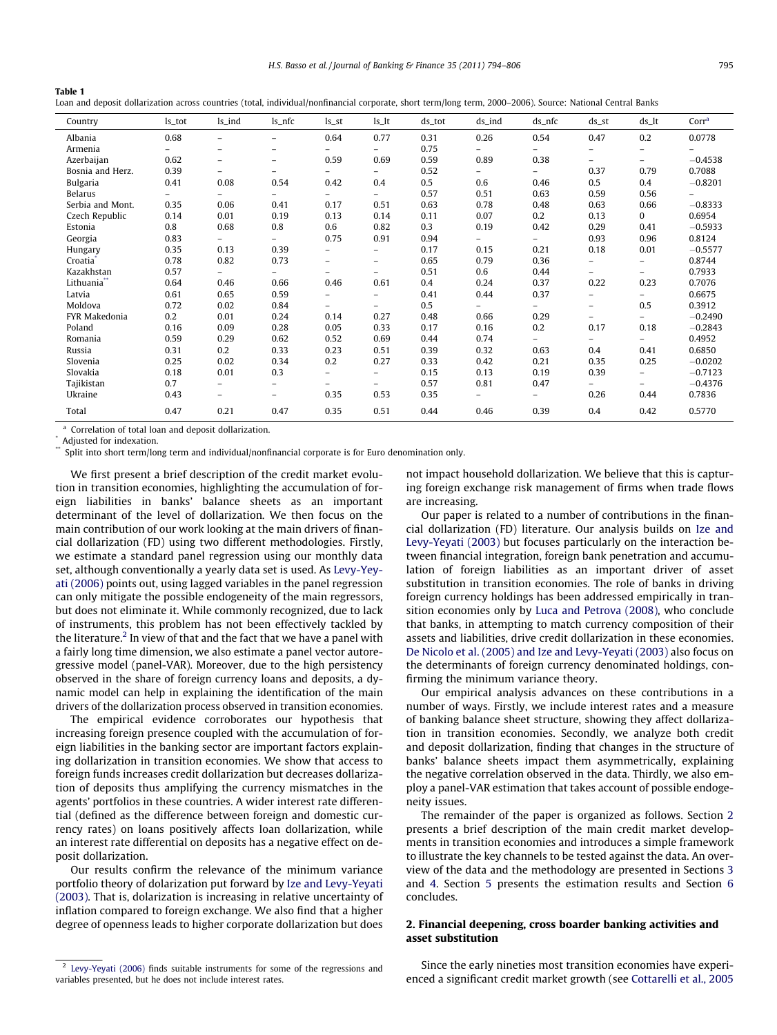<span id="page-1-0"></span>

|--|--|

Loan and deposit dollarization across countries (total, individual/nonfinancial corporate, short term/long term, 2000–2006). Source: National Central Banks

| Country          | ls_tot                   | $ls\_ind$                | ls_nfc | $ls\_st$                 | $ls_l$                   | $ds\_tot$ | $ds$ <sub>-ind</sub> | $ds$ <sub>nfc</sub>      | $ds_{st}$                | $ds_l$                   | Corr <sup>a</sup> |
|------------------|--------------------------|--------------------------|--------|--------------------------|--------------------------|-----------|----------------------|--------------------------|--------------------------|--------------------------|-------------------|
| Albania          | 0.68                     |                          |        | 0.64                     | 0.77                     | 0.31      | 0.26                 | 0.54                     | 0.47                     | 0.2                      | 0.0778            |
| Armenia          |                          |                          |        | $\overline{\phantom{0}}$ | $\overline{\phantom{0}}$ | 0.75      |                      |                          |                          | $\overline{\phantom{0}}$ |                   |
| Azerbaijan       | 0.62                     | -                        | -      | 0.59                     | 0.69                     | 0.59      | 0.89                 | 0.38                     | $\overline{\phantom{0}}$ | $\overline{\phantom{0}}$ | $-0.4538$         |
| Bosnia and Herz. | 0.39                     | Ξ.                       | Ξ.     | -                        | $\overline{\phantom{0}}$ | 0.52      | Ξ.                   | $\overline{\phantom{0}}$ | 0.37                     | 0.79                     | 0.7088            |
| <b>Bulgaria</b>  | 0.41                     | 0.08                     | 0.54   | 0.42                     | 0.4                      | 0.5       | 0.6                  | 0.46                     | 0.5                      | 0.4                      | $-0.8201$         |
| Belarus          | $\overline{\phantom{0}}$ | Ξ.                       | Ξ.     |                          | $\overline{\phantom{0}}$ | 0.57      | 0.51                 | 0.63                     | 0.59                     | 0.56                     |                   |
| Serbia and Mont. | 0.35                     | 0.06                     | 0.41   | 0.17                     | 0.51                     | 0.63      | 0.78                 | 0.48                     | 0.63                     | 0.66                     | $-0.8333$         |
| Czech Republic   | 0.14                     | 0.01                     | 0.19   | 0.13                     | 0.14                     | 0.11      | 0.07                 | 0.2                      | 0.13                     | 0                        | 0.6954            |
| Estonia          | 0.8                      | 0.68                     | 0.8    | 0.6                      | 0.82                     | 0.3       | 0.19                 | 0.42                     | 0.29                     | 0.41                     | $-0.5933$         |
| Georgia          | 0.83                     | $\overline{\phantom{0}}$ | Ξ.     | 0.75                     | 0.91                     | 0.94      | -                    | $\overline{\phantom{0}}$ | 0.93                     | 0.96                     | 0.8124            |
| Hungary          | 0.35                     | 0.13                     | 0.39   |                          | $\overline{\phantom{0}}$ | 0.17      | 0.15                 | 0.21                     | 0.18                     | 0.01                     | $-0.5577$         |
| Croatia          | 0.78                     | 0.82                     | 0.73   | Ξ.                       | $\overline{\phantom{0}}$ | 0.65      | 0.79                 | 0.36                     |                          | $\overline{\phantom{0}}$ | 0.8744            |
| Kazakhstan       | 0.57                     | ÷.                       | ÷.     |                          | $\overline{\phantom{0}}$ | 0.51      | 0.6                  | 0.44                     | $\overline{\phantom{0}}$ | $\overline{\phantom{0}}$ | 0.7933            |
| Lithuania        | 0.64                     | 0.46                     | 0.66   | 0.46                     | 0.61                     | 0.4       | 0.24                 | 0.37                     | 0.22                     | 0.23                     | 0.7076            |
| Latvia           | 0.61                     | 0.65                     | 0.59   |                          | $\overline{\phantom{0}}$ | 0.41      | 0.44                 | 0.37                     |                          | $\overline{\phantom{0}}$ | 0.6675            |
| Moldova          | 0.72                     | 0.02                     | 0.84   | $\overline{\phantom{0}}$ | $\overline{\phantom{0}}$ | 0.5       | Ξ.                   | $\overline{\phantom{0}}$ | $\overline{\phantom{0}}$ | 0.5                      | 0.3912            |
| FYR Makedonia    | 0.2                      | 0.01                     | 0.24   | 0.14                     | 0.27                     | 0.48      | 0.66                 | 0.29                     |                          | -                        | $-0.2490$         |
| Poland           | 0.16                     | 0.09                     | 0.28   | 0.05                     | 0.33                     | 0.17      | 0.16                 | 0.2                      | 0.17                     | 0.18                     | $-0.2843$         |
| Romania          | 0.59                     | 0.29                     | 0.62   | 0.52                     | 0.69                     | 0.44      | 0.74                 |                          | $\overline{\phantom{0}}$ | $\overline{\phantom{0}}$ | 0.4952            |
| Russia           | 0.31                     | 0.2                      | 0.33   | 0.23                     | 0.51                     | 0.39      | 0.32                 | 0.63                     | 0.4                      | 0.41                     | 0.6850            |
| Slovenia         | 0.25                     | 0.02                     | 0.34   | 0.2                      | 0.27                     | 0.33      | 0.42                 | 0.21                     | 0.35                     | 0.25                     | $-0.0202$         |
| Slovakia         | 0.18                     | 0.01                     | 0.3    |                          | $\overline{\phantom{a}}$ | 0.15      | 0.13                 | 0.19                     | 0.39                     | $\overline{\phantom{0}}$ | $-0.7123$         |
| Tajikistan       | 0.7                      | -                        | -      |                          | $\overline{\phantom{0}}$ | 0.57      | 0.81                 | 0.47                     |                          | $\overline{\phantom{0}}$ | $-0.4376$         |
| Ukraine          | 0.43                     | Ξ.                       | Ξ.     | 0.35                     | 0.53                     | 0.35      | -                    | $\overline{\phantom{0}}$ | 0.26                     | 0.44                     | 0.7836            |
| Total            | 0.47                     | 0.21                     | 0.47   | 0.35                     | 0.51                     | 0.44      | 0.46                 | 0.39                     | 0.4                      | 0.42                     | 0.5770            |

<sup>a</sup> Correlation of total loan and deposit dollarization.

Adjusted for indexation.

Split into short term/long term and individual/nonfinancial corporate is for Euro denomination only.

We first present a brief description of the credit market evolution in transition economies, highlighting the accumulation of foreign liabilities in banks' balance sheets as an important determinant of the level of dollarization. We then focus on the main contribution of our work looking at the main drivers of financial dollarization (FD) using two different methodologies. Firstly, we estimate a standard panel regression using our monthly data set, although conventionally a yearly data set is used. As [Levy-Yey](#page--1-0)[ati \(2006\)](#page--1-0) points out, using lagged variables in the panel regression can only mitigate the possible endogeneity of the main regressors, but does not eliminate it. While commonly recognized, due to lack of instruments, this problem has not been effectively tackled by the literature.<sup>2</sup> In view of that and the fact that we have a panel with a fairly long time dimension, we also estimate a panel vector autoregressive model (panel-VAR). Moreover, due to the high persistency observed in the share of foreign currency loans and deposits, a dynamic model can help in explaining the identification of the main drivers of the dollarization process observed in transition economies.

The empirical evidence corroborates our hypothesis that increasing foreign presence coupled with the accumulation of foreign liabilities in the banking sector are important factors explaining dollarization in transition economies. We show that access to foreign funds increases credit dollarization but decreases dollarization of deposits thus amplifying the currency mismatches in the agents' portfolios in these countries. A wider interest rate differential (defined as the difference between foreign and domestic currency rates) on loans positively affects loan dollarization, while an interest rate differential on deposits has a negative effect on deposit dollarization.

Our results confirm the relevance of the minimum variance portfolio theory of dolarization put forward by [Ize and Levy-Yeyati](#page--1-0) [\(2003\)](#page--1-0). That is, dolarization is increasing in relative uncertainty of inflation compared to foreign exchange. We also find that a higher degree of openness leads to higher corporate dollarization but does

not impact household dollarization. We believe that this is capturing foreign exchange risk management of firms when trade flows are increasing.

Our paper is related to a number of contributions in the financial dollarization (FD) literature. Our analysis builds on [Ize and](#page--1-0) [Levy-Yeyati \(2003\)](#page--1-0) but focuses particularly on the interaction between financial integration, foreign bank penetration and accumulation of foreign liabilities as an important driver of asset substitution in transition economies. The role of banks in driving foreign currency holdings has been addressed empirically in transition economies only by [Luca and Petrova \(2008\)](#page--1-0), who conclude that banks, in attempting to match currency composition of their assets and liabilities, drive credit dollarization in these economies. [De Nicolo et al. \(2005\) and Ize and Levy-Yeyati \(2003\)](#page--1-0) also focus on the determinants of foreign currency denominated holdings, confirming the minimum variance theory.

Our empirical analysis advances on these contributions in a number of ways. Firstly, we include interest rates and a measure of banking balance sheet structure, showing they affect dollarization in transition economies. Secondly, we analyze both credit and deposit dollarization, finding that changes in the structure of banks' balance sheets impact them asymmetrically, explaining the negative correlation observed in the data. Thirdly, we also employ a panel-VAR estimation that takes account of possible endogeneity issues.

The remainder of the paper is organized as follows. Section 2 presents a brief description of the main credit market developments in transition economies and introduces a simple framework to illustrate the key channels to be tested against the data. An overview of the data and the methodology are presented in Sections [3](#page--1-0) and [4](#page--1-0). Section [5](#page--1-0) presents the estimation results and Section [6](#page--1-0) concludes.

#### 2. Financial deepening, cross boarder banking activities and asset substitution

Since the early nineties most transition economies have experienced a significant credit market growth (see [Cottarelli et al., 2005](#page--1-0)

<sup>2</sup> [Levy-Yeyati \(2006\)](#page--1-0) finds suitable instruments for some of the regressions and variables presented, but he does not include interest rates.